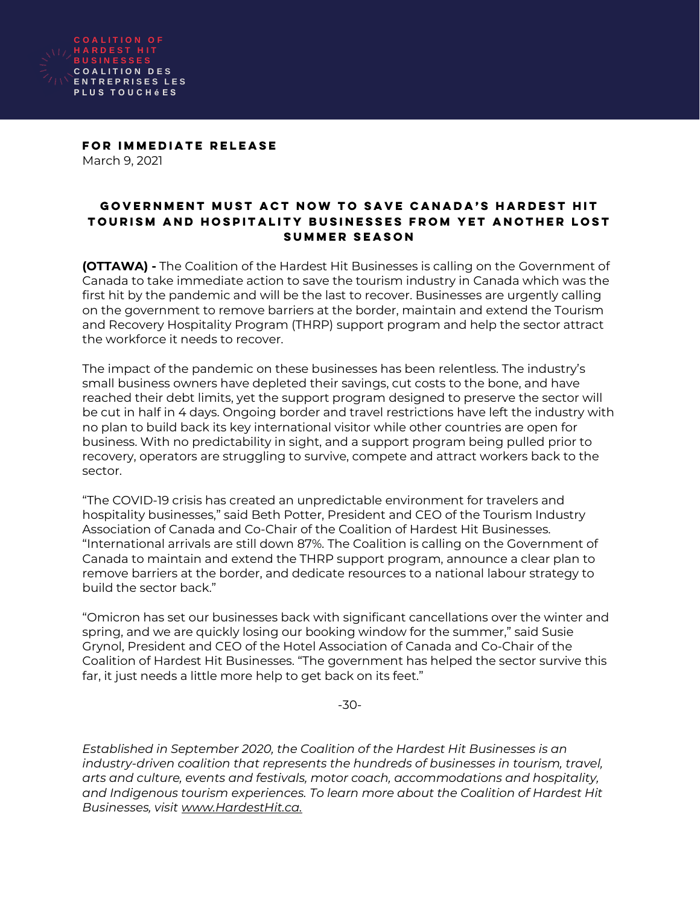

FOR IMMEDIATE RELEASE March 9, 2021

## GOVERNMENT MUST ACT NOW TO SAVE CANADA'S HARDEST HIT TOURISM AND HOSPITALITY BUSINESSES FROM YET ANOTHER LOST SUMMER SEASON

**(OTTAWA) -** The Coalition of the Hardest Hit Businesses is calling on the Government of Canada to take immediate action to save the tourism industry in Canada which was the first hit by the pandemic and will be the last to recover. Businesses are urgently calling on the government to remove barriers at the border, maintain and extend the Tourism and Recovery Hospitality Program (THRP) support program and help the sector attract the workforce it needs to recover.

The impact of the pandemic on these businesses has been relentless. The industry's small business owners have depleted their savings, cut costs to the bone, and have reached their debt limits, yet the support program designed to preserve the sector will be cut in half in 4 days. Ongoing border and travel restrictions have left the industry with no plan to build back its key international visitor while other countries are open for business. With no predictability in sight, and a support program being pulled prior to recovery, operators are struggling to survive, compete and attract workers back to the sector.

"The COVID-19 crisis has created an unpredictable environment for travelers and hospitality businesses," said Beth Potter, President and CEO of the Tourism Industry Association of Canada and Co-Chair of the Coalition of Hardest Hit Businesses. "International arrivals are still down 87%. The Coalition is calling on the Government of Canada to maintain and extend the THRP support program, announce a clear plan to remove barriers at the border, and dedicate resources to a national labour strategy to build the sector back."

"Omicron has set our businesses back with significant cancellations over the winter and spring, and we are quickly losing our booking window for the summer," said Susie Grynol, President and CEO of the Hotel Association of Canada and Co-Chair of the Coalition of Hardest Hit Businesses. "The government has helped the sector survive this far, it just needs a little more help to get back on its feet."

-30-

*Established in September 2020, the Coalition of the Hardest Hit Businesses is an industry-driven coalition that represents the hundreds of businesses in tourism, travel, arts and culture, events and festivals, motor coach, accommodations and hospitality, and Indigenous tourism experiences. To learn more about the Coalition of Hardest Hit Businesses, visit [www.HardestHit.ca.](http://www.hardesthit.ca/)*